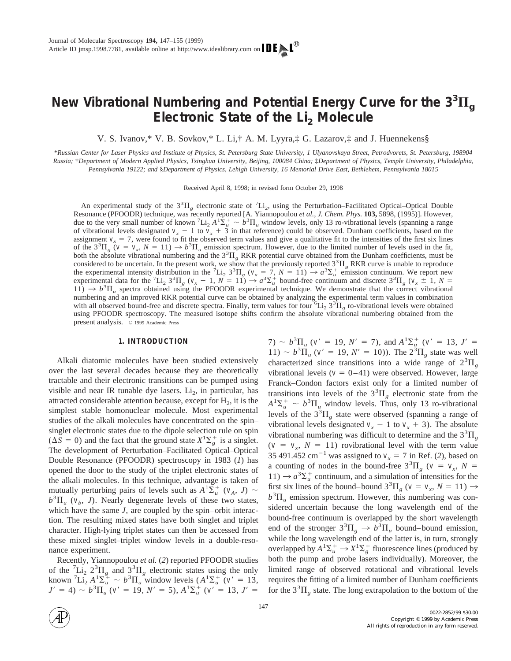# New Vibrational Numbering and Potential Energy Curve for the  $3^{3}\Pi_{g}$ **Electronic State of the Li2 Molecule**

V. S. Ivanov,\* V. B. Sovkov,\* L. Li,† A. M. Lyyra,‡ G. Lazarov,‡ and J. Huennekens§

\**Russian Center for Laser Physics and Institute of Physics, St. Petersburg State University, 1 Ulyanovskaya Street, Petrodvorets, St. Petersburg, 198904 Russia;* †*Department of Modern Applied Physics, Tsinghua University, Beijing, 100084 China;* ‡*Department of Physics, Temple University, Philadelphia, Pennsylvania 19122; and* §*Department of Physics, Lehigh University, 16 Memorial Drive East, Bethlehem, Pennsylvania 18015*

Received April 8, 1998; in revised form October 29, 1998

An experimental study of the  $3^{3}\Pi_{g}$  electronic state of  $^{7}\text{Li}_{2}$ , using the Perturbation–Facilitated Optical–Optical Double Resonance (PFOODR) technique, was recently reported [A. Yiannopoulou *et al., J. Chem. Phys.* **103,** 5898, (1995)]. However, due to the very small number of known  ${}^7\text{Li}_2 A^{1}\text{S}_{u}^{+} \sim b^{3}\text{II}_{u}$  window levels, only 13 ro-vibrational levels (spanning a range of vibrational levels designated  $v_x - 1$  to  $v_x + 3$  in that reference) could be observed. Dunham coefficients, based on the assignment  $v<sub>x</sub> = 7$ , were found to fit the observed term values and give a qualitative fit to the intensities of the first six lines of the  $3^{3}\Pi_{g}$  ( $v = v_{x}$ ,  $N = 11$ )  $\rightarrow b^{3}\Pi_{u}$  emission spectrum. However, due to the limited number of levels used in the fit, both the absolute vibrational numbering and the  $3^3\Pi_g$  RKR potential curve obtained from the Dunham coefficients, must be considered to be uncertain. In the present work, we show that the previously reported  $3^{3}\Pi_{g}$  RKR curve is unable to reproduce the experimental intensity distribution in the <sup>7</sup>Li<sub>2</sub> 3<sup>3</sup> $\Pi_g$  ( $v_x = 7$ ,  $N = 11$ )  $\rightarrow a^3 \Sigma_u^+$  emission continuum. We report new experimental data for the <sup>7</sup>Li<sub>2</sub> 3<sup>3</sup> $\Pi_g$  ( $v_x + 1$ ,  $\overline{N} = 11$ )  $\rightarrow a^3 \Sigma_u^+$  bound-free continuum and discrete 3<sup>3</sup> $\Pi_g$  ( $v_x \pm 1$ ,  $N =$  $11$ )  $\rightarrow b^3 \Pi_u$  spectra obtained using the PFOODR experimental technique. We demonstrate that the correct vibrational numbering and an improved RKR potential curve can be obtained by analyzing the experimental term values in combination with all observed bound-free and discrete spectra. Finally, term values for four  ${}^6\text{Li}_2$  3<sup>3</sup> $\Pi_g$  ro-vibrational levels were obtained using PFOODR spectroscopy. The measured isotope shifts confirm the absolute vibrational numbering obtained from the present analysis. © 1999 Academic Press

#### **1. INTRODUCTION**

Alkali diatomic molecules have been studied extensively over the last several decades because they are theoretically tractable and their electronic transitions can be pumped using visible and near IR tunable dye lasers.  $Li<sub>2</sub>$ , in particular, has attracted considerable attention because, except for  $H_2$ , it is the simplest stable homonuclear molecule. Most experimental studies of the alkali molecules have concentrated on the spin– singlet electronic states due to the dipole selection rule on spin  $(\Delta S = 0)$  and the fact that the ground state  $X^1 \Sigma_g^+$  is a singlet. The development of Perturbation–Facilitated Optical–Optical Double Resonance (PFOODR) spectroscopy in 1983 (*1*) has opened the door to the study of the triplet electronic states of the alkali molecules. In this technique, advantage is taken of mutually perturbing pairs of levels such as  $A^1\Sigma_u^+$  ( $v_A$ , *J*) ~  $b^3 \Pi_u$  ( $v_b$ , *J*). Nearly degenerate levels of these two states, which have the same *J*, are coupled by the spin–orbit interaction. The resulting mixed states have both singlet and triplet character. High-lying triplet states can then be accessed from these mixed singlet–triplet window levels in a double-resonance experiment.

Recently, Yiannopoulou *et al.* (*2*) reported PFOODR studies of the  ${}^{7}Li_2 2{}^{3}\Pi_g$  and  $3{}^{3}\Pi_g$  electronic states using the only known  ${}^{7}Li_{2}A_{\mu}^{1}\Sigma_{\mu}^{4} \sim b^{3}\Pi_{\mu}^{3}$  window levels  $(A^{1}\Sigma_{\mu}^{+}) (v^{2} = 13,$  $J' = 4$ )  $\sim b^3 \Pi_u^{\text{u}} (v' = 19, N' = 5)$ ,  $A^1 \Sigma_u^+ (v' = 13, J' = 1)$ 

7)  $\sim b^3 \Pi_u$  (*v*<sup> $\prime$ </sup> = 19, *N*<sup> $\prime$ </sup> = 7), and  $A^1 \Sigma_u^+$  (*v*<sup> $\prime$ </sup> = 13, *J*<sup> $\prime$ </sup> =  $11) \sim b^3 \overline{\Pi}_u$  (*v*<sup> $\prime$ </sup> = 19, *N*<sup> $\prime$ </sup> = 10)). The  $2^3 \overline{\Pi}_g$  state was well characterized since transitions into a wide range of  $2^{3}\Pi_{g}$ vibrational levels ( $v = 0-41$ ) were observed. However, large Franck–Condon factors exist only for a limited number of transitions into levels of the  $3<sup>3</sup>\Pi<sub>g</sub>$  electronic state from the  $A^{1}\Sigma_{u}^{+} \sim b^{3}\Pi_{u}$  window levels. Thus, only 13 ro-vibrational levels of the  $3<sup>3</sup>\Pi<sub>g</sub>$  state were observed (spanning a range of vibrational levels designated  $v_x - 1$  to  $v_x + 3$ ). The absolute vibrational numbering was difficult to determine and the  $3<sup>3</sup>\Pi<sub>g</sub>$  $(v = v_x, N = 11)$  rovibrational level with the term value 35 491.452 cm<sup>-1</sup> was assigned to  $v_r = 7$  in Ref. (2), based on a counting of nodes in the bound-free  $3^{3}\Pi_{g}$  ( $v = v_{x}$ ,  $N =$  $11) \rightarrow a^3 \Sigma^+_\mu$  continuum, and a simulation of intensities for the first six lines of the bound–bound  $3^{3}\Pi_{g}$  ( $v = v_{x}$ ,  $N = 11$ )  $\rightarrow$  $b<sup>3</sup>$ II<sub>u</sub> emission spectrum. However, this numbering was considered uncertain because the long wavelength end of the bound-free continuum is overlapped by the short wavelength end of the stronger  $3^3\Pi_g \rightarrow b^3\Pi_u$  bound–bound emission, while the long wavelength end of the latter is, in turn, strongly overlapped by  $A^1\Sigma_u^+ \to X^1\Sigma_g^+$  fluorescence lines (produced by both the pump and probe lasers individually). Moreover, the limited range of observed rotational and vibrational levels requires the fitting of a limited number of Dunham coefficients for the  $3^{3}\Pi_{g}$  state. The long extrapolation to the bottom of the

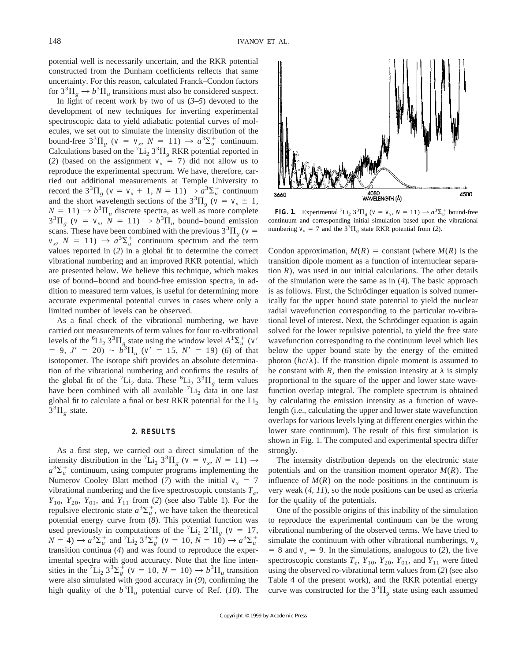potential well is necessarily uncertain, and the RKR potential constructed from the Dunham coefficients reflects that same uncertainty. For this reason, calculated Franck–Condon factors for  $3^{3}\Pi_{g} \rightarrow b^{3}\Pi_{u}$  transitions must also be considered suspect.

In light of recent work by two of us (*3–5*) devoted to the development of new techniques for inverting experimental spectroscopic data to yield adiabatic potential curves of molecules, we set out to simulate the intensity distribution of the bound-free  $3^{3}\Pi_{g}$  ( $v = v_{x}$ ,  $N = 11$ )  $\rightarrow a^{3}\Sigma_{u}^{+}$  continuum. Calculations based on the  ${}^{7}Li_{2}$  3<sup>3</sup> $\Pi_{g}$  RKR potential reported in (2) (based on the assignment  $v_x = 7$ ) did not allow us to reproduce the experimental spectrum. We have, therefore, carried out additional measurements at Temple University to record the  $3^{3}\Pi_{g}$  ( $v = v_{x} + 1$ ,  $N = 11$ )  $\rightarrow a^{3}\Sigma_{u}^{+}$  continuum and the short wavelength sections of the  $3^{3}\Pi_{g}$  ( $v = v_{x} \pm 1$ ,  $N = 11$ )  $\rightarrow b^3 \Pi_u$  discrete spectra, as well as more complete  $3^{3}\Pi_{g}$  ( $v = v_{x}$ ,  $N = 11$ )  $\rightarrow b^{3}\Pi_{u}$  bound–bound emission scans. These have been combined with the previous  $3^{3} \Pi_{g}$  (*v* =  $v_x$ ,  $N = 11$ )  $\rightarrow a^3 \Sigma_u^+$  continuum spectrum and the term values reported in (*2*) in a global fit to determine the correct vibrational numbering and an improved RKR potential, which are presented below. We believe this technique, which makes use of bound–bound and bound-free emission spectra, in addition to measured term values, is useful for determining more accurate experimental potential curves in cases where only a limited number of levels can be observed.

As a final check of the vibrational numbering, we have carried out measurements of term values for four ro-vibrational levels of the <sup>6</sup>L<sub>1</sub><sup>2</sup> 3<sup>3</sup> $\Pi_g$  state using the window level  $A^1\Sigma_u^+$  (*v*<sup>9</sup>)  $= 9, J' = 20$ )  $\sim b^3 \Pi_u$  ( $v' = 15, N' = 19$ ) (6) of that isotopomer. The isotope shift provides an absolute determination of the vibrational numbering and confirms the results of the global fit of the  ${}^{7}Li_{2}$  data. These  ${}^{6}Li_{2}$   $3{}^{3}\Pi_{g}$  term values have been combined with all available  $\tilde{L}$   $\tilde{L}$  data in one last global fit to calculate a final or best RKR potential for the  $Li<sub>2</sub>$  $\overline{3}^3\Pi_g$  state.

#### **2. RESULTS**

As a first step, we carried out a direct simulation of the intensity distribution in the <sup>7</sup>Li<sub>2</sub> 3<sup>3</sup> $\Pi_g$  (*v* = *v<sub>x</sub>*, *N* = 11)  $\rightarrow$  $a^3 \Sigma_u^+$  continuum, using computer programs implementing the Numerov–Cooley–Blatt method (7) with the initial  $v<sub>x</sub> = 7$ vibrational numbering and the five spectroscopic constants  $T_e$ , *Y*<sub>10</sub>, *Y*<sub>20</sub>, *Y*<sub>01</sub>, and *Y*<sub>11</sub> from (*2*) (see also Table 1). For the repulsive electronic state  $a^3 \Sigma_u^+$ , we have taken the theoretical potential energy curve from (*8*). This potential function was used previously in computations of the  ${}^{7}Li_{2} 2{}^{3}\Pi_{g}$  ( $v = 17$ ,  $N = 4$ )  $\rightarrow a^3 \Sigma_u^+$  and  ${}^7 \text{Li}_2 3^3 \Sigma_g^+$  ( $v = 10$ ,  $N = 10$ )  $\rightarrow a^3 \Sigma_u^+$ transition continua (*4*) and was found to reproduce the experimental spectra with good accuracy. Note that the line intensities in the <sup>7</sup>Li<sub>2</sub>  $3^3\Sigma_g^+$  (*v* = 10, *N* = 10)  $\rightarrow b^3\Pi_u$  transition were also simulated with good accuracy in (*9*), confirming the high quality of the  $b^3 \overline{II}_u$  potential curve of Ref. (10). The



**FIG. 1.** Experimental <sup>7</sup>Li<sub>2</sub> 3<sup>3</sup> $\Pi_g$  ( $v = v_x$ ,  $N = 11$ )  $\rightarrow a^3 \Sigma_u^+$  bound-free continuum and corresponding initial simulation based upon the vibrational numbering  $v_x = 7$  and the  $3<sup>3</sup>\Pi_g$  state RKR potential from (2).

Condon approximation,  $M(R)$  = constant (where  $M(R)$  is the transition dipole moment as a function of internuclear separation *), was used in our initial calculations. The other details* of the simulation were the same as in (*4*). The basic approach is as follows. First, the Schrödinger equation is solved numerically for the upper bound state potential to yield the nuclear radial wavefunction corresponding to the particular ro-vibrational level of interest. Next, the Schrödinger equation is again solved for the lower repulsive potential, to yield the free state wavefunction corresponding to the continuum level which lies below the upper bound state by the energy of the emitted photon  $(hc/\lambda)$ . If the transition dipole moment is assumed to be constant with *R*, then the emission intensity at  $\lambda$  is simply proportional to the square of the upper and lower state wavefunction overlap integral. The complete spectrum is obtained by calculating the emission intensity as a function of wavelength (i.e., calculating the upper and lower state wavefunction overlaps for various levels lying at different energies within the lower state continuum). The result of this first simulation is shown in Fig. 1. The computed and experimental spectra differ strongly.

The intensity distribution depends on the electronic state potentials and on the transition moment operator *M*(*R*). The influence of  $M(R)$  on the node positions in the continuum is very weak (*4, 11*), so the node positions can be used as criteria for the quality of the potentials.

One of the possible origins of this inability of the simulation to reproduce the experimental continuum can be the wrong vibrational numbering of the observed terms. We have tried to simulate the continuum with other vibrational numberings,  $v<sub>x</sub>$  $= 8$  and  $v_x = 9$ . In the simulations, analogous to (2), the five spectroscopic constants  $T_e$ ,  $Y_{10}$ ,  $Y_{20}$ ,  $Y_{01}$ , and  $Y_{11}$  were fitted using the observed ro-vibrational term values from (*2*) (see also Table 4 of the present work), and the RKR potential energy curve was constructed for the  $3<sup>3</sup>\Pi<sub>g</sub>$  state using each assumed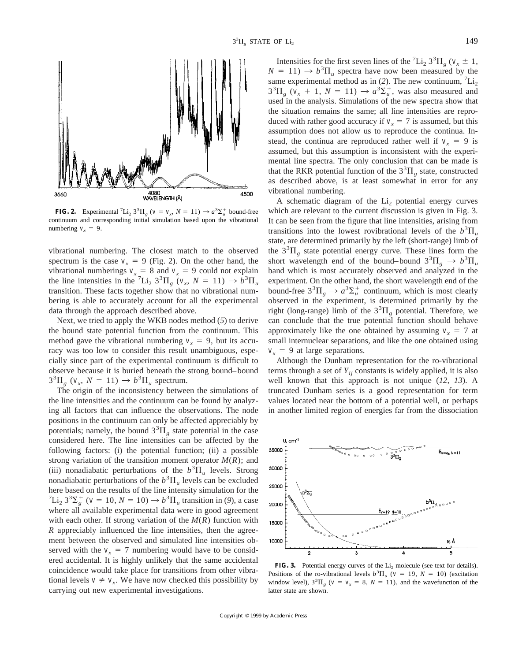

**FIG. 2.** Experimental <sup>7</sup>Li<sub>2</sub> 3<sup>3</sup> $\Pi_g$  ( $v = v_x$ ,  $N = 11$ )  $\rightarrow a^3 \Sigma_u^+$  bound-free continuum and corresponding initial simulation based upon the vibrational numbering  $v_r = 9$ .

vibrational numbering. The closest match to the observed spectrum is the case  $v_x = 9$  (Fig. 2). On the other hand, the vibrational numberings  $v_x = 8$  and  $v_x = 9$  could not explain the line intensities in the <sup>7</sup>Li<sub>2</sub> 3<sup>3</sup> $\Pi_g$  ( $v_x$ ,  $N = 11$ )  $\rightarrow b^3 \Pi_u$ transition. These facts together show that no vibrational numbering is able to accurately account for all the experimental data through the approach described above.

Next, we tried to apply the WKB nodes method (*5*) to derive the bound state potential function from the continuum. This method gave the vibrational numbering  $v<sub>x</sub> = 9$ , but its accuracy was too low to consider this result unambiguous, especially since part of the experimental continuum is difficult to observe because it is buried beneath the strong bound–bound  $3^{3}\Pi_{g}$  ( $v_{x}$ ,  $N = 11$ )  $\rightarrow b^{3}\Pi_{u}$  spectrum.

The origin of the inconsistency between the simulations of the line intensities and the continuum can be found by analyzing all factors that can influence the observations. The node positions in the continuum can only be affected appreciably by potentials; namely, the bound  $3<sup>3</sup>$  $\Pi<sub>g</sub>$  state potential in the case considered here. The line intensities can be affected by the following factors: (i) the potential function; (ii) a possible strong variation of the transition moment operator  $M(R)$ ; and (iii) nonadiabatic perturbations of the  $b^3 \Pi_u$  levels. Strong nonadiabatic perturbations of the  $b^3 \Pi_u$  levels can be excluded here based on the results of the line intensity simulation for the  $^{7}Li_{2} 3^{3}\Sigma_{g}^{+}$  (*v* = 10, *N* = 10)  $\rightarrow b^{3}\Pi_{u}$  transition in (9), a case where all available experimental data were in good agreement with each other. If strong variation of the  $M(R)$  function with *R* appreciably influenced the line intensities, then the agreement between the observed and simulated line intensities observed with the  $v_x = 7$  numbering would have to be considered accidental. It is highly unlikely that the same accidental coincidence would take place for transitions from other vibrational levels  $v \neq v_r$ . We have now checked this possibility by carrying out new experimental investigations.

Intensities for the first seven lines of the <sup>7</sup>Li<sub>2</sub> 3<sup>3</sup> $\Pi_g$  (*v<sub>x</sub>*  $\pm$  1,  $N = 11$ )  $\rightarrow b^3 \Pi_u$  spectra have now been measured by the same experimental method as in (2). The new continuum,  ${}^{7}Li_{2}$  $3^{3}\Pi_{g}$  ( $v_{x}$  + 1,  $N = 11$ )  $\rightarrow a^{3}\Sigma_{u}^{+}$ , was also measured and used in the analysis. Simulations of the new spectra show that the situation remains the same; all line intensities are reproduced with rather good accuracy if  $v_r = 7$  is assumed, but this assumption does not allow us to reproduce the continua. Instead, the continua are reproduced rather well if  $v_x = 9$  is assumed, but this assumption is inconsistent with the experimental line spectra. The only conclusion that can be made is that the RKR potential function of the  $3<sup>3</sup>\Pi<sub>g</sub>$  state, constructed as described above, is at least somewhat in error for any vibrational numbering.

A schematic diagram of the  $Li<sub>2</sub>$  potential energy curves which are relevant to the current discussion is given in Fig. 3. It can be seen from the figure that line intensities, arising from transitions into the lowest rovibrational levels of the  $b^3\Pi_u$ state, are determined primarily by the left (short-range) limb of the  $3<sup>3</sup>\Pi<sub>g</sub>$  state potential energy curve. These lines form the short wavelength end of the bound–bound  $3^{3}\Pi_{g} \rightarrow b^{3}\Pi_{u}$ band which is most accurately observed and analyzed in the experiment. On the other hand, the short wavelength end of the bound-free  $3^3 \Pi_g \rightarrow a^3 \Sigma_u^+$  continuum, which is most clearly observed in the experiment, is determined primarily by the right (long-range) limb of the  $3^{3}\Pi_{g}$  potential. Therefore, we can conclude that the true potential function should behave approximately like the one obtained by assuming  $v<sub>x</sub> = 7$  at small internuclear separations, and like the one obtained using  $v_r = 9$  at large separations.

Although the Dunham representation for the ro-vibrational terms through a set of  $Y_{ii}$  constants is widely applied, it is also well known that this approach is not unique (*12, 13*). A truncated Dunham series is a good representation for term values located near the bottom of a potential well, or perhaps in another limited region of energies far from the dissociation



**FIG. 3.** Potential energy curves of the  $Li<sub>2</sub>$  molecule (see text for details). Positions of the ro-vibrational levels  $b^3 \Pi_u$  ( $v = 19$ ,  $N = 10$ ) (excitation window level),  $3^{3}\Pi_{g}$  ( $v = v_{x} = 8$ ,  $N = 11$ ), and the wavefunction of the latter state are shown.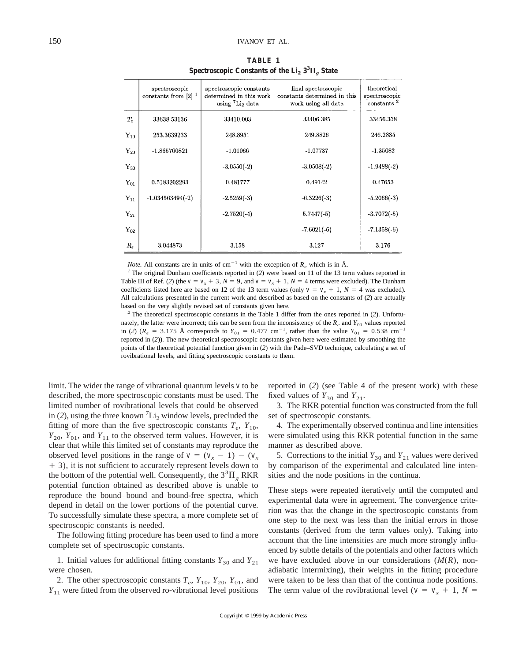|                | spectroscopic<br>constants from $[2]$ <sup>1</sup> | spectroscopic constants<br>determined in this work<br>using $^7$ Li <sub>2</sub> data | final spectroscopic<br>constants determined in this<br>work using all data | theoretical<br>spectroscopic<br>constants <sup>2</sup> |
|----------------|----------------------------------------------------|---------------------------------------------------------------------------------------|----------------------------------------------------------------------------|--------------------------------------------------------|
| $T_{e}$        | 33638.53136                                        | 33410.003                                                                             | 33406.385                                                                  | 33456.318                                              |
| ${\rm Y}_{10}$ | 253.3639233                                        | 248.8951                                                                              | 249.8826                                                                   | 246.2885                                               |
| $Y_{20}$       | $-1.865760821$                                     | $-1.01066$                                                                            | $-1.07737$                                                                 | $-1.35082$                                             |
| $Y_{30}$       |                                                    | $-3.0550(-2)$                                                                         | $-3.0508(-2)$                                                              | $-1.9488(-2)$                                          |
| ${\rm Y}_{01}$ | 0.5183202293                                       | 0.481777                                                                              | 0.49142                                                                    | 0.47653                                                |
| ${\rm Y}_{11}$ | $-1.034563494(-2)$                                 | $-2.5259(-3)$                                                                         | $-6.3226(-3)$                                                              | $-5.2066(-3)$                                          |
| ${\rm Y}_{21}$ |                                                    | $-2.7520(-4)$                                                                         | $5.7447(-5)$                                                               | $-3.7072(-5)$                                          |
| ${\rm Y}_{02}$ |                                                    |                                                                                       | $-7.6021(-6)$                                                              | $-7.1358(-6)$                                          |
| $R_e$          | 3.044873                                           | 3.158                                                                                 | 3.127                                                                      | 3.176                                                  |

**TABLE 1** Spectroscopic Constants of the  $Li_2 3^3\Pi_g$  State

*Note.* All constants are in units of cm<sup>-1</sup> with the exception of  $R_e$  which is in Å. *1* The original Dunham coefficients reported in (*2*) were based on 11 of the 13 term values reported in Table III of Ref. (2) (the  $v = v_x + 3$ ,  $N = 9$ , and  $v = v_x + 1$ ,  $N = 4$  terms were excluded). The Dunham coefficients listed here are based on 12 of the 13 term values (only  $v = v<sub>x</sub> + 1$ ,  $N = 4$  was excluded). All calculations presented in the current work and described as based on the constants of (*2*) are actually based on the very slightly revised set of constants given here.

*<sup>2</sup>* The theoretical spectroscopic constants in the Table 1 differ from the ones reported in (*2*). Unfortunately, the latter were incorrect; this can be seen from the inconsistency of the  $R_e$  and  $Y_{01}$  values reported in (2) ( $R_e$  = 3.175 Å corresponds to  $Y_{01}$  = 0.477 cm<sup>-1</sup>, rather than the value  $Y_{01}$  = 0.538 cm<sup>-1</sup> reported in (*2*)). The new theoretical spectroscopic constants given here were estimated by smoothing the points of the theoretical potential function given in (*2*) with the Pade–SVD technique, calculating a set of rovibrational levels, and fitting spectroscopic constants to them.

limit. The wider the range of vibrational quantum levels *v* to be described, the more spectroscopic constants must be used. The limited number of rovibrational levels that could be observed in (2), using the three known  ${}^{7}Li_{2}$  window levels, precluded the fitting of more than the five spectroscopic constants  $T_e$ ,  $Y_{10}$ ,  $Y_{20}$ ,  $Y_{01}$ , and  $Y_{11}$  to the observed term values. However, it is clear that while this limited set of constants may reproduce the observed level positions in the range of  $v = (v_x - 1) - (v_x)$  $+$  3), it is not sufficient to accurately represent levels down to the bottom of the potential well. Consequently, the  $3<sup>3</sup>\Pi<sub>g</sub> RKR$ potential function obtained as described above is unable to reproduce the bound–bound and bound-free spectra, which depend in detail on the lower portions of the potential curve. To successfully simulate these spectra, a more complete set of spectroscopic constants is needed.

The following fitting procedure has been used to find a more complete set of spectroscopic constants.

1. Initial values for additional fitting constants  $Y_{30}$  and  $Y_{21}$ were chosen.

2. The other spectroscopic constants  $T_e$ ,  $Y_{10}$ ,  $Y_{20}$ ,  $Y_{01}$ , and *Y*<sup>11</sup> were fitted from the observed ro-vibrational level positions reported in (*2*) (see Table 4 of the present work) with these fixed values of  $Y_{30}$  and  $Y_{21}$ .

3. The RKR potential function was constructed from the full set of spectroscopic constants.

4. The experimentally observed continua and line intensities were simulated using this RKR potential function in the same manner as described above.

5. Corrections to the initial  $Y_{30}$  and  $Y_{21}$  values were derived by comparison of the experimental and calculated line intensities and the node positions in the continua.

These steps were repeated iteratively until the computed and experimental data were in agreement. The convergence criterion was that the change in the spectroscopic constants from one step to the next was less than the initial errors in those constants (derived from the term values only). Taking into account that the line intensities are much more strongly influenced by subtle details of the potentials and other factors which we have excluded above in our considerations (*M*(*R*), nonadiabatic intermixing), their weights in the fitting procedure were taken to be less than that of the continua node positions. The term value of the rovibrational level ( $v = v_x + 1$ ,  $N =$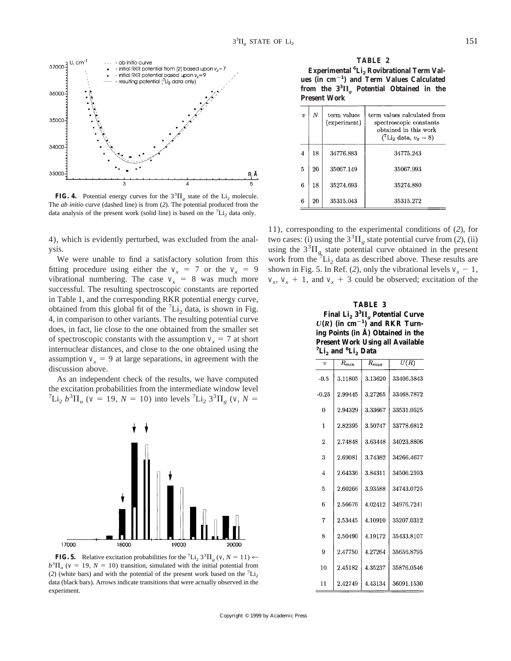

**FIG. 4.** Potential energy curves for the  $3^{3}\Pi_{g}$  state of the Li<sub>2</sub> molecule. The *ab initio* curve (dashed line) is from (*2*). The potential produced from the data analysis of the present work (solid line) is based on the  ${}^{7}Li_{2}$  data only.

4), which is evidently perturbed, was excluded from the analysis.

We were unable to find a satisfactory solution from this fitting procedure using either the  $v_x = 7$  or the  $v_x = 9$ vibrational numbering. The case  $v_x = 8$  was much more successful. The resulting spectroscopic constants are reported in Table 1, and the corresponding RKR potential energy curve, obtained from this global fit of the  ${}^{7}Li_{2}$  data, is shown in Fig. 4, in comparison to other variants. The resulting potential curve does, in fact, lie close to the one obtained from the smaller set of spectroscopic constants with the assumption  $v<sub>x</sub> = 7$  at short internuclear distances, and close to the one obtained using the assumption  $v_x = 9$  at large separations, in agreement with the discussion above.

As an independent check of the results, we have computed the excitation probabilities from the intermediate window level  $^{7}Li_{2} b^{3}\Pi_{u}$  (*v* = 19, *N* = 10) into levels <sup>7</sup>Li<sub>2</sub> 3<sup>3</sup> $\Pi_{g}$  (*v*, *N* =





**TABLE 2**

**Experimental <sup>6</sup> Li2 Rovibrational Term Values (in cm**2**<sup>1</sup> ) and Term Values Calculated** from the  $3^{3}\Pi_{g}$  Potential Obtained in the **Present Work**

| $\boldsymbol{v}$ | N  | term values<br>(experiment) | term values calculated from<br>spectroscopic constants<br>obtained in this work<br>$(^{7}Li_{2}$ data, $v_x = 8$ ) |  |  |  |
|------------------|----|-----------------------------|--------------------------------------------------------------------------------------------------------------------|--|--|--|
| $\overline{4}$   | 18 | 34776.883                   | 34775.243                                                                                                          |  |  |  |
| 5                | 20 | 35067.149                   | 35067.993                                                                                                          |  |  |  |
| 6                | 18 | 35274.693                   | 35274.880                                                                                                          |  |  |  |
| 6                | 20 | 35315.043                   | 35315.272                                                                                                          |  |  |  |

11), corresponding to the experimental conditions of (*2*), for two cases: (i) using the  $3<sup>3</sup>\Pi<sub>g</sub>$  state potential curve from (2), (ii) using the  $3^{3}\Pi_{g}$  state potential curve obtained in the present work from the  ${}^7Li_2$  data as described above. These results are shown in Fig. 5. In Ref. (2), only the vibrational levels  $v_x - 1$ ,  $v_x$ ,  $v_x$  + 1, and  $v_x$  + 3 could be observed; excitation of the

# **TABLE 3**  $\mathbf{Final}$   $\mathbf{Li}_2$   $3^3\Pi_g$  Potential Curve  $U(R)$  (in cm<sup>-1</sup>)<sup>2</sup> and RKR Turn**ing Points (in Å) Obtained in the Present Work Using all Available**

| ${}^{7}Li_{2}$ and ${}^{6}Li_{2}$ Data |           |                      |            |  |  |  |
|----------------------------------------|-----------|----------------------|------------|--|--|--|
| v                                      | $R_{min}$ | $\overline{R}_{max}$ | U(R)       |  |  |  |
| $-0.5$                                 | 3.11805   | 3.13620              | 33406.3843 |  |  |  |
| $-0.25$                                | 2.99445   | 3.27265              | 33468.7872 |  |  |  |
| 0                                      | 2.94329   | 3.33667              | 33531.0525 |  |  |  |
| 1                                      | 2.82395   | 3.50747              | 33778.6812 |  |  |  |
| $\overline{2}$                         | 2.74848   | 3.63448              | 34023.8806 |  |  |  |
| 3                                      | 2.69081   | 3.74382              | 34266.4677 |  |  |  |
| $\overline{4}$                         | 2.64336   | 3.84311              | 34506.2593 |  |  |  |
| 5                                      | 2.60266   | 3.93588              | 34743.0725 |  |  |  |
| 6                                      | 2.56676   | 4.02412              | 34976.7241 |  |  |  |
| 7                                      | 2.53445   | 4.10910              | 35207.0312 |  |  |  |
| 8                                      | 2.50490   | 4.19172              | 35433.8107 |  |  |  |
| 9                                      | 2.47750   | 4.27264              | 35656.8795 |  |  |  |
| 10                                     | 2.45182   | 4.35237              | 35876.0546 |  |  |  |
| 11                                     | 2.42749   | 4.43134              | 36091.1530 |  |  |  |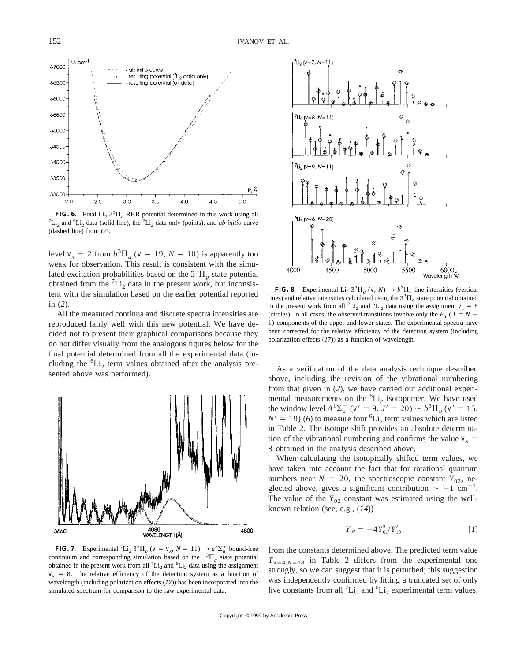

**FIG. 6.** Final  $Li_2$   $3^{3}H_g$  RKR potential determined in this work using all  $7I_1$  and  $6I_1$  dete (solid line), the  $7I_1$  dete only (points), and  $ab$  initia curve  $Li<sub>2</sub>$  and <sup>6</sup>Li<sub>2</sub> data (solid line), the <sup>7</sup>Li<sub>2</sub> data only (points), and *ab initio* curve (dashed line) from (*2*).

level  $v_x + 2$  from  $b^3 \Pi_u$  ( $v = 19$ ,  $N = 10$ ) is apparently too weak for observation. This result is consistent with the simulated excitation probabilities based on the  $3<sup>3</sup>\Pi<sub>g</sub>$  state potential obtained from the  ${}^{7}Li_{2}$  data in the present work, but inconsistent with the simulation based on the earlier potential reported in (*2*).

All the measured continua and discrete spectra intensities are reproduced fairly well with this new potential. We have decided not to present their graphical comparisons because they do not differ visually from the analogous figures below for the final potential determined from all the experimental data (including the  ${}^{6}Li_2$  term values obtained after the analysis presented above was performed).<br>Sented above was performed).





**FIG. 8.** Experimental Li<sub>2</sub>  $3^{3}\Pi_{g}$  (*v*, *N*)  $\rightarrow b^{3}\Pi_{u}$  line intensities (vertical lines) and relative intensities calculated using the  $3<sup>3</sup>$  $\Pi<sub>g</sub>$  state potential obtained in the present work from all <sup>7</sup>Li<sub>2</sub> and <sup>6</sup>Li<sub>2</sub> data using the assignment  $v_x = 8$ (circles). In all cases, the observed transitions involve only the  $F_1$  ( $J = N +$ 1) components of the upper and lower states. The experimental spectra have been corrected for the relative efficiency of the detection system (including polarization effects (*17*)) as a function of wavelength.

above, including the revision of the vibrational numbering from that given in (*2*), we have carried out additional experimental measurements on the  ${}^{6}Li_{2}$  isotopomer. We have used the window level  $A^{1}\Sigma_{u}^{+}$  ( $v' = 9$ ,  $J' = 20$ )  $\sim b^{3}\Pi_{u}$  ( $v' = 15$ ,  $N' = 19$ ) (6) to measure four <sup>6</sup>Li<sub>2</sub> term values which are listed in Table 2. The isotope shift provides an absolute determination of the vibrational numbering and confirms the value  $v<sub>x</sub> =$ 8 obtained in the analysis described above.

When calculating the isotopically shifted term values, we have taken into account the fact that for rotational quantum numbers near  $N = 20$ , the spectroscopic constant  $Y_{02}$ , neglected above, gives a significant contribution  $\sim -1$  cm<sup>-1</sup>. The value of the  $Y_{02}$  constant was estimated using the wellknown relation (see, e.g., (*14*))

$$
Y_{02} = -4Y_{01}^3/Y_{10}^2 \tag{1}
$$

**FIG. 7.** Experimental <sup>7</sup>Li<sub>2</sub> 3<sup>3</sup> $\Pi_g$  ( $v = v_x$ ,  $N = 11$ )  $\rightarrow a^3 \Sigma_u^+$  bound-free continuum and corresponding simulation based on the  $3<sup>3</sup>\Pi<sub>g</sub>$  state potential obtained in the present work from all  ${}^{7}Li_{2}$  and  ${}^{6}Li_{2}$  data using the assignment  $v_r = 8$ . The relative efficiency of the detection system as a function of wavelength (including polarization effects (*17*)) has been incorporated into the simulated spectrum for comparison to the raw experimental data.

from the constants determined above. The predicted term value  $T_{v=4, N=18}$  in Table 2 differs from the experimental one strongly, so we can suggest that it is perturbed; this suggestion was independently confirmed by fitting a truncated set of only five constants from all  ${}^{7}Li_{2}$  and  ${}^{6}Li_{2}$  experimental term values.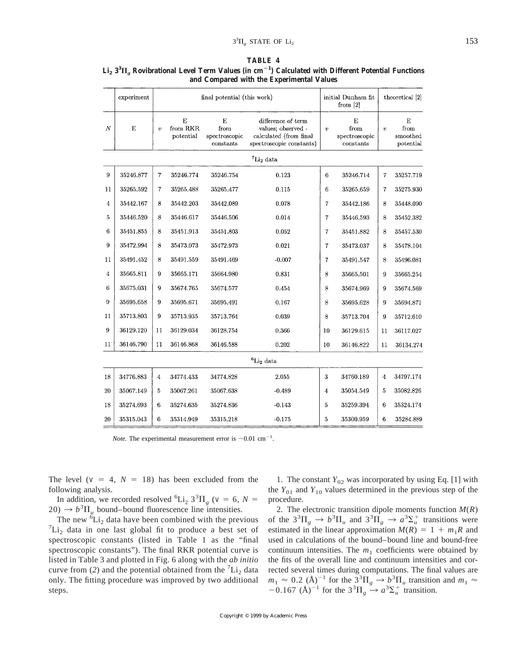|--|--|

|                  | experiment                    |                  | final potential (this work) |                                         | initial Dunham fit<br>from $[2]$                                                               |                  | theoretical [2]                         |                  |                                    |
|------------------|-------------------------------|------------------|-----------------------------|-----------------------------------------|------------------------------------------------------------------------------------------------|------------------|-----------------------------------------|------------------|------------------------------------|
| $\boldsymbol{N}$ | E                             | $\boldsymbol{v}$ | E<br>from RKR<br>potential  | Е<br>from<br>spectroscopic<br>constants | difference of term<br>values; observed -<br>calculated (from final<br>spectroscopic constants) | $\boldsymbol{v}$ | E<br>from<br>spectroscopic<br>constants | $\boldsymbol{v}$ | Е<br>from<br>smoothed<br>potential |
|                  | $\mathrm{^{7}Li_{2}}$ data    |                  |                             |                                         |                                                                                                |                  |                                         |                  |                                    |
| 9                | 35246.877                     | 7                | 35246.774                   | 35246.754                               | 0.123                                                                                          | 6                | 35246.714                               | 7                | 35257.719                          |
| 11               | 35265.592                     | 7                | 35265.488                   | 35265.477                               | 0.115                                                                                          | 6                | 35265.659                               | 7                | 35275.930                          |
| 4                | 35442.167                     | 8                | 35442.203                   | 35442.089                               | 0.078                                                                                          | $\overline{7}$   | 35442.186                               | 8                | 35448.090                          |
| 5                | 35446.520                     | 8                | 35446.617                   | 35446.506                               | 0.014                                                                                          | $\overline{7}$   | 35446.593                               | 8                | 35452.382                          |
| 6                | 35451.855                     | 8                | 35451.913                   | 35451.803                               | 0.052                                                                                          | $\overline{7}$   | 35451.882                               | 8                | 35457.530                          |
| 9                | 35472.994                     | 8                | 35473.073                   | 35472.973                               | 0.021                                                                                          | $\overline{7}$   | 35473.037                               | 8                | 35478.104                          |
| 11               | 35491.452                     | 8                | 35491.559                   | 35491.469                               | $-0.007$                                                                                       | $\overline{7}$   | 35491.547                               | 8                | 35496.081                          |
| $\overline{4}$   | 35665.811                     | 9                | 35665.171                   | 35664.980                               | 0.831                                                                                          | 8                | 35665.501                               | 9                | 35665.254                          |
| 6                | 35675.031                     | 9                | 35674.765                   | 35674.577                               | 0.454                                                                                          | 8                | 35674.969                               | 9                | 35674.569                          |
| 9                | 35695.658                     | 9                | 35695.671                   | 35695.491                               | 0.167                                                                                          | 8                | 35695.628                               | 9                | 35694.871                          |
| 11               | 35713.803                     | 9                | $35713.935\,$               | 35713.764                               | 0.039                                                                                          | 8                | 35713.704                               | 9                | 35712.610                          |
| 9                | 36129.120                     | 11               | 36129.034                   | 36128.754                               | 0.366                                                                                          | 10               | 36129.615                               | 11               | 36117.027                          |
| 11               | 36146.790                     | 11               | 36146.868                   | 36146.588                               | 0.202                                                                                          | 10               | 36146.822                               | 11               | 36134.274                          |
|                  | ${}^{6}$ Li <sub>2</sub> data |                  |                             |                                         |                                                                                                |                  |                                         |                  |                                    |
| 18               | 34776.883                     | 4                | 34774.433                   | 34774.828                               | 2.055                                                                                          | 3                | 34760.189                               | 4                | 34797.174                          |
| 20               | 35067.149                     | 5                | 35067.261                   | 35067.638                               | $-0.489$                                                                                       | 4                | 35054.549                               | 5                | 35082.826                          |
| 18               | 35274.693                     | 6                | 35274.635                   | 35274.836                               | $-0.143$                                                                                       | 5                | 35259.394                               | 6                | 35324.174                          |
| 20               | 35315.043                     | 6                | 35314.949                   | 35315.218                               | $-0.175$                                                                                       | 5                | 35300.959                               | 6                | 35284.889                          |

# $\text{Li}_2$   $3^3\Pi_g$  Rovibrational Level Term Values (in cm $^{-1}$ ) Calculated with Different Potential Functions **and Compared with the Experimental Values**

*Note.* The experimental measurement error is  $\sim 0.01$  cm<sup>-1</sup>.

The level ( $v = 4$ ,  $N = 18$ ) has been excluded from the following analysis.

In addition, we recorded resolved <sup>6</sup>Li<sub>2</sub> 3<sup>3</sup> $\Pi$ <sub>g</sub> (*v* = 6, *N* =  $20) \rightarrow b^3 \Pi_u$  bound–bound fluorescence line intensities.

The new  ${}^6\text{Li}_2$  data have been combined with the previous  ${}^{7}\text{Li}_2$  data in one last global fit to produce a best set of  ${}^{7}Li_{2}$  data in one last global fit to produce a best set of spectroscopic constants (listed in Table 1 as the "final spectroscopic constants"). The final RKR potential curve is listed in Table 3 and plotted in Fig. 6 along with the *ab initio* curve from (2) and the potential obtained from the  ${}^{7}Li_{2}$  data only. The fitting procedure was improved by two additional steps.

1. The constant  $Y_{02}$  was incorporated by using Eq. [1] with the  $Y_{01}$  and  $Y_{10}$  values determined in the previous step of the procedure.

2. The electronic transition dipole moments function  $M(R)$ of the  $3^{3}\Pi_{g} \rightarrow b^{3}\Pi_{u}$  and  $3^{3}\Pi_{g} \rightarrow a^{3}\Sigma_{u}^{+}$  transitions were estimated in the linear approximation  $M(R) = 1 + m_1 R$  and used in calculations of the bound–bound line and bound-free continuum intensities. The  $m_1$  coefficients were obtained by the fits of the overall line and continuum intensities and corrected several times during computations. The final values are  $m_1 \approx 0.2 \text{ (Å)}^{-1}$  for the  $3^3 \Pi_g \rightarrow b^3 \Pi_u$  transition and  $m_1 \approx$  $-0.167$  (Å)<sup>-1</sup> for the  $3^{3}\Pi_{g} \rightarrow a^{3}\Sigma_{u}^{+}$  transition.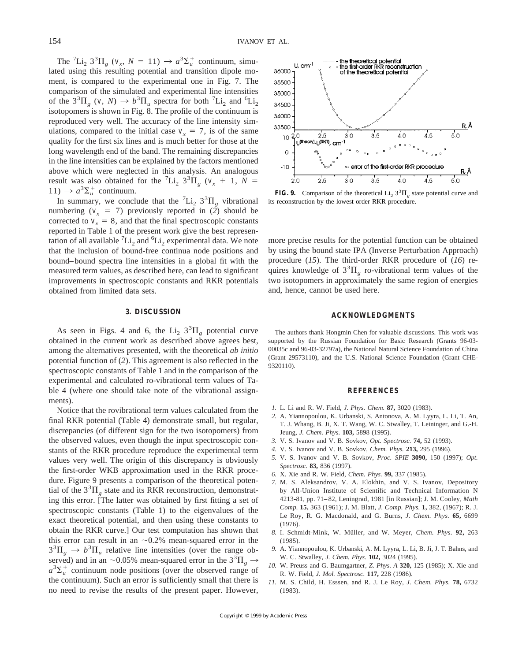The <sup>7</sup>Li<sub>2</sub> 3<sup>3</sup> $\Pi_g$  ( $v_x$ ,  $N = 11$ )  $\rightarrow a^3 \Sigma_u^+$  continuum, simulated using this resulting potential and transition dipole moment, is compared to the experimental one in Fig. 7. The comparison of the simulated and experimental line intensities of the  $3^3\Pi_g$  (*v*, *N*)  $\rightarrow b^3\Pi_u$  spectra for both <sup>7</sup>Li<sub>2</sub> and <sup>6</sup>Li<sub>2</sub> isotopomers is shown in Fig. 8. The profile of the continuum is reproduced very well. The accuracy of the line intensity simulations, compared to the initial case  $v<sub>x</sub> = 7$ , is of the same quality for the first six lines and is much better for those at the long wavelength end of the band. The remaining discrepancies in the line intensities can be explained by the factors mentioned above which were neglected in this analysis. An analogous result was also obtained for the <sup>7</sup>Li<sub>2</sub> 3<sup>3</sup> $\Pi$ <sub>g</sub> ( $v_x$  + 1,  $\overline{N}$  =  $11) \rightarrow a^3 \Sigma_u^+$  continuum.

In summary, we conclude that the  ${}^{7}Li_{2}$  3<sup>3</sup> $\Pi_{g}$  vibrational numbering ( $v_x = 7$ ) previously reported in (2) should be corrected to  $v_x = 8$ , and that the final spectroscopic constants reported in Table 1 of the present work give the best representation of all available  ${}^{7}Li_{2}$  and  ${}^{6}Li_{2}$  experimental data. We note that the inclusion of bound-free continua node positions and bound–bound spectra line intensities in a global fit with the measured term values, as described here, can lead to significant improvements in spectroscopic constants and RKR potentials obtained from limited data sets.

## **3. DISCUSSION**

As seen in Figs. 4 and 6, the Li<sub>2</sub>  $3^{3}\Pi_{g}$  potential curve obtained in the current work as described above agrees best, among the alternatives presented, with the theoretical *ab initio* potential function of (*2*). This agreement is also reflected in the spectroscopic constants of Table 1 and in the comparison of the experimental and calculated ro-vibrational term values of Table 4 (where one should take note of the vibrational assignments).

Notice that the rovibrational term values calculated from the final RKR potential (Table 4) demonstrate small, but regular, discrepancies (of different sign for the two isotopomers) from the observed values, even though the input spectroscopic constants of the RKR procedure reproduce the experimental term values very well. The origin of this discrepancy is obviously the first-order WKB approximation used in the RKR procedure. Figure 9 presents a comparison of the theoretical potential of the  $3<sup>3</sup>\Pi<sub>g</sub>$  state and its RKR reconstruction, demonstrating this error. [The latter was obtained by first fitting a set of spectroscopic constants (Table 1) to the eigenvalues of the exact theoretical potential, and then using these constants to obtain the RKR curve.] Our test computation has shown that this error can result in an  $\sim 0.2\%$  mean-squared error in the  $3^{3}\Pi_{g} \rightarrow b^{3}\Pi_{u}$  relative line intensities (over the range observed) and in an ~0.05% mean-squared error in the  $3^3\Pi_g \rightarrow$  $a^3 \Sigma_u^+$  continuum node positions (over the observed range of the continuum). Such an error is sufficiently small that there is no need to revise the results of the present paper. However,



**FIG. 9.** Comparison of the theoretical  $Li_2 3^3\Pi_g$  state potential curve and its reconstruction by the lowest order RKR procedure.

more precise results for the potential function can be obtained by using the bound state IPA (Inverse Perturbation Approach) procedure (*15*). The third-order RKR procedure of (*16*) requires knowledge of  $3^{3}\Pi_{g}$  ro-vibrational term values of the two isotopomers in approximately the same region of energies and, hence, cannot be used here.

## **ACKNOWLEDGMENTS**

The authors thank Hongmin Chen for valuable discussions. This work was supported by the Russian Foundation for Basic Research (Grants 96-03- 00035c and 96-03-32797a), the National Natural Science Foundation of China (Grant 29573110), and the U.S. National Science Foundation (Grant CHE-9320110).

### **REFERENCES**

- *1.* L. Li and R. W. Field, *J. Phys. Chem.* **87,** 3020 (1983).
- *2.* A. Yiannopoulou, K. Urbanski, S. Antonova, A. M. Lyyra, L. Li, T. An, T. J. Whang, B. Ji, X. T. Wang, W. C. Stwalley, T. Leininger, and G.-H. Jeung, *J. Chem. Phys.* **103,** 5898 (1995).
- *3.* V. S. Ivanov and V. B. Sovkov, *Opt. Spectrosc.* **74,** 52 (1993).
- *4.* V. S. Ivanov and V. B. Sovkov, *Chem. Phys.* **213,** 295 (1996).
- *5.* V. S. Ivanov and V. B. Sovkov, *Proc. SPIE* **3090,** 150 (1997); *Opt. Spectrosc.* **83,** 836 (1997).
- *6.* X. Xie and R. W. Field, *Chem. Phys.* **99,** 337 (1985).
- *7.* M. S. Aleksandrov, V. A. Elokhin, and V. S. Ivanov, Depository by All-Union Institute of Scientific and Technical Information N 4213-81, pp. 71–82, Leningrad, 1981 [in Russian]; J. M. Cooley, *Math Comp.* **15,** 363 (1961); J. M. Blatt, *J. Comp. Phys.* **1,** 382, (1967); R. J. Le Roy, R. G. Macdonald, and G. Burns, *J. Chem. Phys.* **65,** 6699 (1976).
- *8.* I. Schmidt-Mink, W. Mu¨ller, and W. Meyer, *Chem. Phys.* **92,** 263 (1985).
- *9.* A. Yiannopoulou, K. Urbanski, A. M. Lyyra, L. Li, B. Ji, J. T. Bahns, and W. C. Stwalley, *J. Chem. Phys.* **102,** 3024 (1995).
- *10.* W. Preuss and G. Baumgartner, *Z. Phys. A* **320,** 125 (1985); X. Xie and R. W. Field, *J. Mol. Spectrosc.* **117,** 228 (1986).
- *11.* M. S. Child, H. Esssen, and R. J. Le Roy, *J. Chem. Phys.* **78,** 6732 (1983).